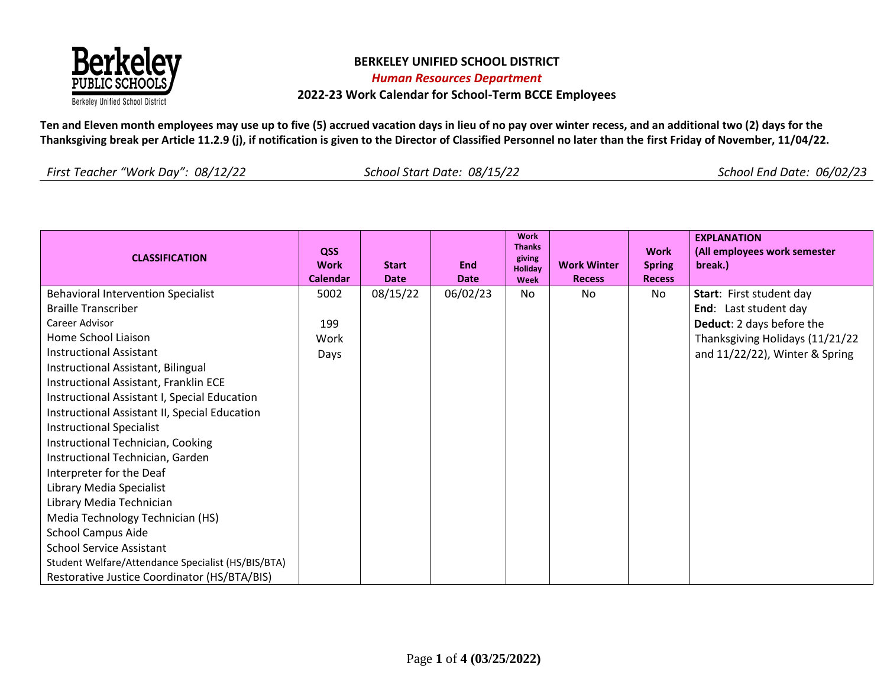

**Ten and Eleven month employees may use up to five (5) accrued vacation days in lieu of no pay over winter recess, and an additional two (2) days for the Thanksgiving break per Article 11.2.9 (j), if notification is given to the Director of Classified Personnel no later than the first Friday of November, 11/04/22.**

| <b>CLASSIFICATION</b>                                                   | QSS<br><b>Work</b><br>Calendar | <b>Start</b><br><b>Date</b> | <b>End</b><br><b>Date</b> | <b>Work</b><br><b>Thanks</b><br>giving<br>Holiday<br>Week | <b>Work Winter</b><br><b>Recess</b> | <b>Work</b><br><b>Spring</b><br><b>Recess</b> | <b>EXPLANATION</b><br>(All employees work semester<br>break.) |
|-------------------------------------------------------------------------|--------------------------------|-----------------------------|---------------------------|-----------------------------------------------------------|-------------------------------------|-----------------------------------------------|---------------------------------------------------------------|
| <b>Behavioral Intervention Specialist</b><br><b>Braille Transcriber</b> | 5002                           | 08/15/22                    | 06/02/23                  | No                                                        | No                                  | No                                            | Start: First student day<br>End: Last student day             |
| Career Advisor                                                          | 199                            |                             |                           |                                                           |                                     |                                               | Deduct: 2 days before the                                     |
| Home School Liaison                                                     | Work                           |                             |                           |                                                           |                                     |                                               | Thanksgiving Holidays (11/21/22                               |
| <b>Instructional Assistant</b>                                          | Days                           |                             |                           |                                                           |                                     |                                               | and 11/22/22), Winter & Spring                                |
| Instructional Assistant, Bilingual                                      |                                |                             |                           |                                                           |                                     |                                               |                                                               |
| Instructional Assistant, Franklin ECE                                   |                                |                             |                           |                                                           |                                     |                                               |                                                               |
| Instructional Assistant I, Special Education                            |                                |                             |                           |                                                           |                                     |                                               |                                                               |
| Instructional Assistant II, Special Education                           |                                |                             |                           |                                                           |                                     |                                               |                                                               |
| <b>Instructional Specialist</b>                                         |                                |                             |                           |                                                           |                                     |                                               |                                                               |
| Instructional Technician, Cooking                                       |                                |                             |                           |                                                           |                                     |                                               |                                                               |
| Instructional Technician, Garden                                        |                                |                             |                           |                                                           |                                     |                                               |                                                               |
| Interpreter for the Deaf                                                |                                |                             |                           |                                                           |                                     |                                               |                                                               |
| Library Media Specialist                                                |                                |                             |                           |                                                           |                                     |                                               |                                                               |
| Library Media Technician                                                |                                |                             |                           |                                                           |                                     |                                               |                                                               |
| Media Technology Technician (HS)                                        |                                |                             |                           |                                                           |                                     |                                               |                                                               |
| <b>School Campus Aide</b>                                               |                                |                             |                           |                                                           |                                     |                                               |                                                               |
| <b>School Service Assistant</b>                                         |                                |                             |                           |                                                           |                                     |                                               |                                                               |
| Student Welfare/Attendance Specialist (HS/BIS/BTA)                      |                                |                             |                           |                                                           |                                     |                                               |                                                               |
| Restorative Justice Coordinator (HS/BTA/BIS)                            |                                |                             |                           |                                                           |                                     |                                               |                                                               |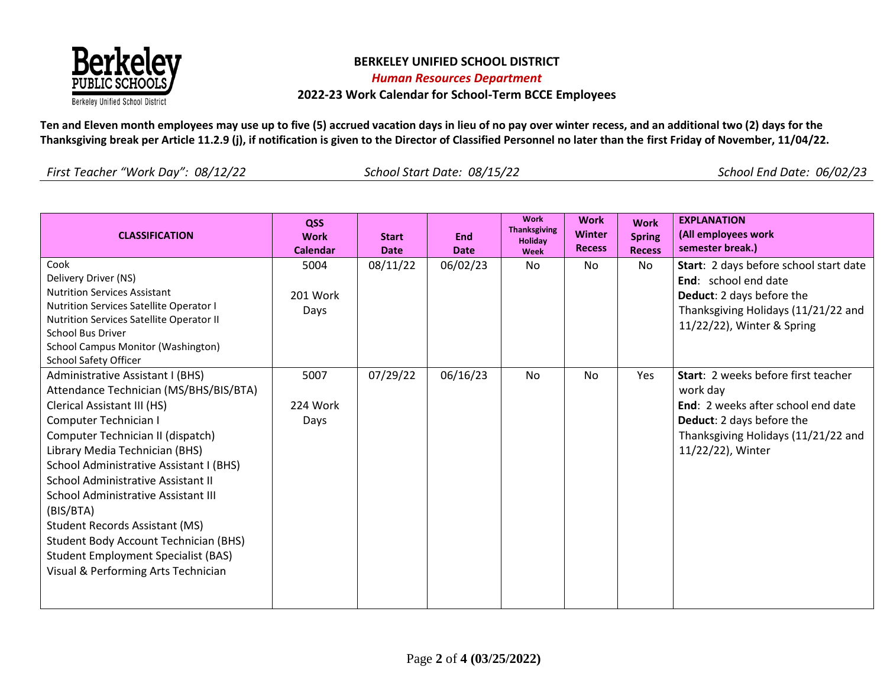

**Ten and Eleven month employees may use up to five (5) accrued vacation days in lieu of no pay over winter recess, and an additional two (2) days for the Thanksgiving break per Article 11.2.9 (j), if notification is given to the Director of Classified Personnel no later than the first Friday of November, 11/04/22.**

| <b>CLASSIFICATION</b>                                                                                                                                                                                                                                                                                                                                                                                                                                                                                                        | QSS<br><b>Work</b><br><b>Calendar</b> | <b>Start</b><br><b>Date</b> | <b>End</b><br><b>Date</b> | <b>Work</b><br><b>Thanksgiving</b><br>Holiday<br>Week | <b>Work</b><br><b>Winter</b><br><b>Recess</b> | <b>Work</b><br><b>Spring</b><br><b>Recess</b> | <b>EXPLANATION</b><br>(All employees work<br>semester break.)                                                                                                                  |
|------------------------------------------------------------------------------------------------------------------------------------------------------------------------------------------------------------------------------------------------------------------------------------------------------------------------------------------------------------------------------------------------------------------------------------------------------------------------------------------------------------------------------|---------------------------------------|-----------------------------|---------------------------|-------------------------------------------------------|-----------------------------------------------|-----------------------------------------------|--------------------------------------------------------------------------------------------------------------------------------------------------------------------------------|
| Cook<br>Delivery Driver (NS)<br><b>Nutrition Services Assistant</b><br><b>Nutrition Services Satellite Operator I</b><br>Nutrition Services Satellite Operator II<br>School Bus Driver<br>School Campus Monitor (Washington)<br><b>School Safety Officer</b>                                                                                                                                                                                                                                                                 | 5004<br>201 Work<br>Days              | 08/11/22                    | 06/02/23                  | No.                                                   | <b>No</b>                                     | No                                            | Start: 2 days before school start date<br>End: school end date<br>Deduct: 2 days before the<br>Thanksgiving Holidays (11/21/22 and<br>11/22/22), Winter & Spring               |
| Administrative Assistant I (BHS)<br>Attendance Technician (MS/BHS/BIS/BTA)<br>Clerical Assistant III (HS)<br>Computer Technician I<br>Computer Technician II (dispatch)<br>Library Media Technician (BHS)<br>School Administrative Assistant I (BHS)<br>School Administrative Assistant II<br>School Administrative Assistant III<br>(BIS/BTA)<br><b>Student Records Assistant (MS)</b><br><b>Student Body Account Technician (BHS)</b><br><b>Student Employment Specialist (BAS)</b><br>Visual & Performing Arts Technician | 5007<br>224 Work<br>Days              | 07/29/22                    | 06/16/23                  | <b>No</b>                                             | <b>No</b>                                     | <b>Yes</b>                                    | Start: 2 weeks before first teacher<br>work day<br>End: 2 weeks after school end date<br>Deduct: 2 days before the<br>Thanksgiving Holidays (11/21/22 and<br>11/22/22), Winter |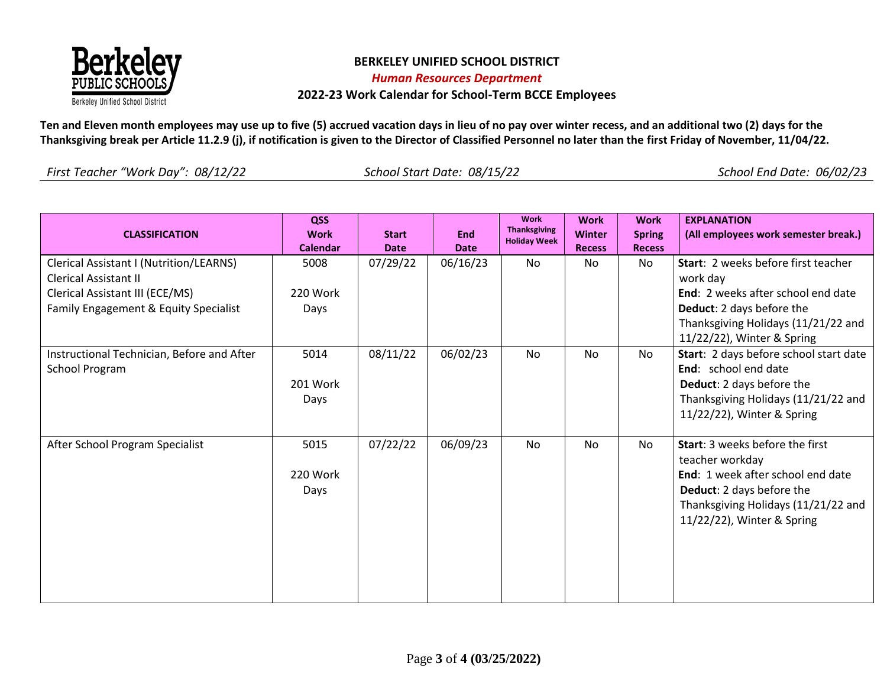

**Ten and Eleven month employees may use up to five (5) accrued vacation days in lieu of no pay over winter recess, and an additional two (2) days for the Thanksgiving break per Article 11.2.9 (j), if notification is given to the Director of Classified Personnel no later than the first Friday of November, 11/04/22.**

| <b>CLASSIFICATION</b>                                                                                                                               | QSS<br><b>Work</b><br><b>Calendar</b> | <b>Start</b><br><b>Date</b> | <b>End</b><br><b>Date</b> | <b>Work</b><br><b>Thanksgiving</b><br><b>Holiday Week</b> | <b>Work</b><br>Winter<br><b>Recess</b> | <b>Work</b><br><b>Spring</b><br><b>Recess</b> | <b>EXPLANATION</b><br>(All employees work semester break.)                                                                                                                                                   |
|-----------------------------------------------------------------------------------------------------------------------------------------------------|---------------------------------------|-----------------------------|---------------------------|-----------------------------------------------------------|----------------------------------------|-----------------------------------------------|--------------------------------------------------------------------------------------------------------------------------------------------------------------------------------------------------------------|
| Clerical Assistant I (Nutrition/LEARNS)<br><b>Clerical Assistant II</b><br>Clerical Assistant III (ECE/MS)<br>Family Engagement & Equity Specialist | 5008<br>220 Work<br>Days              | 07/29/22                    | 06/16/23                  | <b>No</b>                                                 | No                                     | No.                                           | Start: 2 weeks before first teacher<br>work day<br>End: 2 weeks after school end date<br><b>Deduct:</b> 2 days before the<br>Thanksgiving Holidays (11/21/22 and                                             |
| Instructional Technician, Before and After<br>School Program                                                                                        | 5014<br>201 Work<br>Days              | 08/11/22                    | 06/02/23                  | <b>No</b>                                                 | No.                                    | <b>No</b>                                     | 11/22/22), Winter & Spring<br>Start: 2 days before school start date<br><b>End:</b> school end date<br><b>Deduct:</b> 2 days before the<br>Thanksgiving Holidays (11/21/22 and<br>11/22/22), Winter & Spring |
| After School Program Specialist                                                                                                                     | 5015<br>220 Work<br>Days              | 07/22/22                    | 06/09/23                  | N <sub>0</sub>                                            | N <sub>o</sub>                         | <b>No</b>                                     | <b>Start:</b> 3 weeks before the first<br>teacher workday<br>End: 1 week after school end date<br>Deduct: 2 days before the<br>Thanksgiving Holidays (11/21/22 and<br>11/22/22), Winter & Spring             |